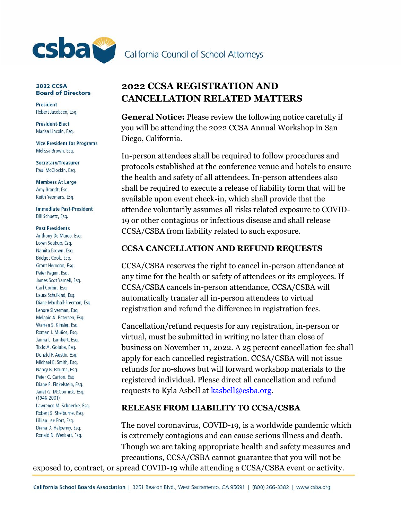

### **2022 CCSA Board of Directors**

**President** Robert Jacobsen, Esq.

**President-Elect** Marisa Lincoln, Esq.

**Vice President for Programs** Melissa Brown, Esq.

Secretary/Treasurer Paul McGlockin, Esq.

**Members At Large** Amy Brandt, Esg. Keith Yeomans, Esq.

**Immediate Past-President** Bill Schuetz, Esq.

#### **Past Presidents**

Anthony De Marco, Esq. Loren Soukup, Esq. Namita Brown, Esq. Bridget Cook, Esq. Grant Herndon, Esg. Peter Fagen, Esq. James Scot Yarnell, Esq. Carl Corbin, Esq. Laura Schulkind, Esg. Diane Marshall-Freeman, Esq. Lenore Silverman, Esq. Melanie A. Petersen, Esq. Warren S. Kinsler, Esq. Roman J. Muñoz, Esq. Janna L. Lambert, Esq. Todd A. Goluba, Esq. Donald F. Austin, Esq. Michael E. Smith, Esq. Nancy B. Bourne, Esq. Peter C. Carton, Esq. Diane E. Finkelstein, Esq. Janet G. McCormick, Esq.  $(1946 - 2001)$ Lawrence M. Schoenke, Esq. Robert S. Shelburne, Esq. Lillian Lee Port, Esq. Diana D. Halpenny, Esq. Ronald D. Wenkart, Esq.

# **2022 CCSA REGISTRATION AND CANCELLATION RELATED MATTERS**

**General Notice:** Please review the following notice carefully if you will be attending the 2022 CCSA Annual Workshop in San Diego, California.

In-person attendees shall be required to follow procedures and protocols established at the conference venue and hotels to ensure the health and safety of all attendees. In-person attendees also shall be required to execute a release of liability form that will be available upon event check-in, which shall provide that the attendee voluntarily assumes all risks related exposure to COVID-19 or other contagious or infectious disease and shall release CCSA/CSBA from liability related to such exposure.

## **CCSA CANCELLATION AND REFUND REQUESTS**

CCSA/CSBA reserves the right to cancel in-person attendance at any time for the health or safety of attendees or its employees. If CCSA/CSBA cancels in-person attendance, CCSA/CSBA will automatically transfer all in-person attendees to virtual registration and refund the difference in registration fees.

Cancellation/refund requests for any registration, in-person or virtual, must be submitted in writing no later than close of business on November 11, 2022. A 25 percent cancellation fee shall apply for each cancelled registration. CCSA/CSBA will not issue refunds for no-shows but will forward workshop materials to the registered individual. Please direct all cancellation and refund requests to Kyla Asbell at [kasbell@csba.org.](mailto:kasbell@csba.org)

## **RELEASE FROM LIABILITY TO CCSA/CSBA**

The novel coronavirus, COVID-19, is a worldwide pandemic which is extremely contagious and can cause serious illness and death. Though we are taking appropriate health and safety measures and precautions, CCSA/CSBA cannot guarantee that you will not be exposed to, contract, or spread COVID-19 while attending a CCSA/CSBA event or activity.